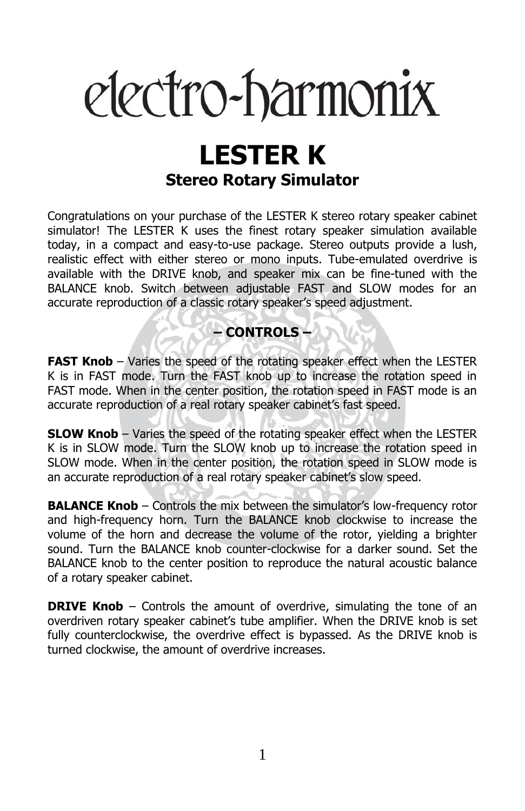# electro-harmonix

# **LESTER K Stereo Rotary Simulator**

Congratulations on your purchase of the LESTER K stereo rotary speaker cabinet simulator! The LESTER K uses the finest rotary speaker simulation available today, in a compact and easy-to-use package. Stereo outputs provide a lush, realistic effect with either stereo or mono inputs. Tube-emulated overdrive is available with the DRIVE knob, and speaker mix can be fine-tuned with the BALANCE knob. Switch between adjustable FAST and SLOW modes for an accurate reproduction of a classic rotary speaker's speed adjustment.

## **– CONTROLS –**

**FAST Knob** – Varies the speed of the rotating speaker effect when the LESTER K is in FAST mode. Turn the FAST knob up to increase the rotation speed in FAST mode. When in the center position, the rotation speed in FAST mode is an accurate reproduction of a real rotary speaker cabinet's fast speed.

**SLOW Knob** – Varies the speed of the rotating speaker effect when the LESTER K is in SLOW mode. Turn the SLOW knob up to increase the rotation speed in SLOW mode. When in the center position, the rotation speed in SLOW mode is an accurate reproduction of a real rotary speaker cabinet's slow speed.

**BALANCE Knob** – Controls the mix between the simulator's low-frequency rotor and high-frequency horn. Turn the BALANCE knob clockwise to increase the volume of the horn and decrease the volume of the rotor, yielding a brighter sound. Turn the BALANCE knob counter-clockwise for a darker sound. Set the BALANCE knob to the center position to reproduce the natural acoustic balance of a rotary speaker cabinet.

**DRIVE Knob** – Controls the amount of overdrive, simulating the tone of an overdriven rotary speaker cabinet's tube amplifier. When the DRIVE knob is set fully counterclockwise, the overdrive effect is bypassed. As the DRIVE knob is turned clockwise, the amount of overdrive increases.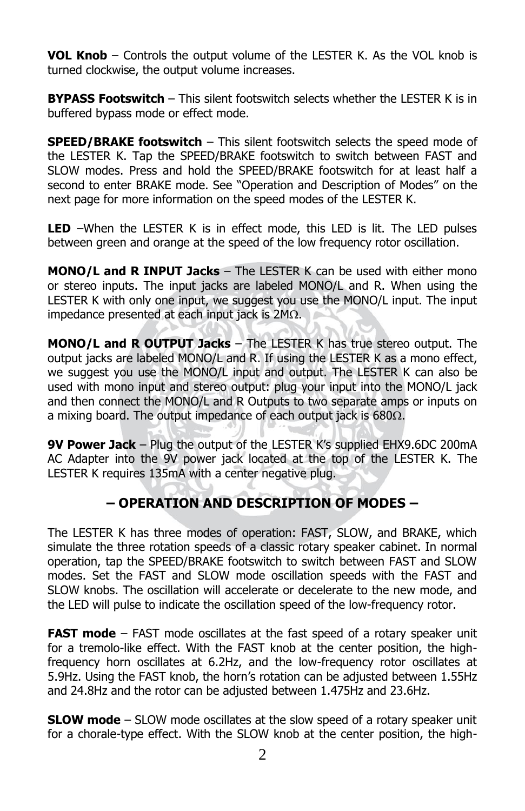**VOL Knob** – Controls the output volume of the LESTER K. As the VOL knob is turned clockwise, the output volume increases.

**BYPASS Footswitch** – This silent footswitch selects whether the LESTER K is in buffered bypass mode or effect mode.

**SPEED/BRAKE footswitch** – This silent footswitch selects the speed mode of the LESTER K. Tap the SPEED/BRAKE footswitch to switch between FAST and SLOW modes. Press and hold the SPEED/BRAKE footswitch for at least half a second to enter BRAKE mode. See "Operation and Description of Modes" on the next page for more information on the speed modes of the LESTER K.

**LED** –When the LESTER K is in effect mode, this LED is lit. The LED pulses between green and orange at the speed of the low frequency rotor oscillation.

**MONO/L and R INPUT Jacks** – The LESTER K can be used with either mono or stereo inputs. The input jacks are labeled MONO/L and R. When using the LESTER K with only one input, we suggest you use the MONO/L input. The input impedance presented at each input jack is  $2M\Omega$ .

**MONO/L and R OUTPUT Jacks** – The LESTER K has true stereo output. The output jacks are labeled MONO/L and R. If using the LESTER K as a mono effect, we suggest you use the MONO/L input and output. The LESTER K can also be used with mono input and stereo output: plug your input into the MONO/L jack and then connect the MONO/L and R Outputs to two separate amps or inputs on a mixing board. The output impedance of each output jack is  $680\Omega$ .

**9V Power Jack** – Plug the output of the LESTER K's supplied EHX9.6DC 200mA AC Adapter into the 9V power jack located at the top of the LESTER K. The LESTER K requires 135mA with a center negative plug.

### **– OPERATION AND DESCRIPTION OF MODES –**

The LESTER K has three modes of operation: FAST, SLOW, and BRAKE, which simulate the three rotation speeds of a classic rotary speaker cabinet. In normal operation, tap the SPEED/BRAKE footswitch to switch between FAST and SLOW modes. Set the FAST and SLOW mode oscillation speeds with the FAST and SLOW knobs. The oscillation will accelerate or decelerate to the new mode, and the LED will pulse to indicate the oscillation speed of the low-frequency rotor.

**FAST mode** – FAST mode oscillates at the fast speed of a rotary speaker unit for a tremolo-like effect. With the FAST knob at the center position, the highfrequency horn oscillates at 6.2Hz, and the low-frequency rotor oscillates at 5.9Hz. Using the FAST knob, the horn's rotation can be adjusted between 1.55Hz and 24.8Hz and the rotor can be adjusted between 1.475Hz and 23.6Hz.

**SLOW mode** – SLOW mode oscillates at the slow speed of a rotary speaker unit for a chorale-type effect. With the SLOW knob at the center position, the high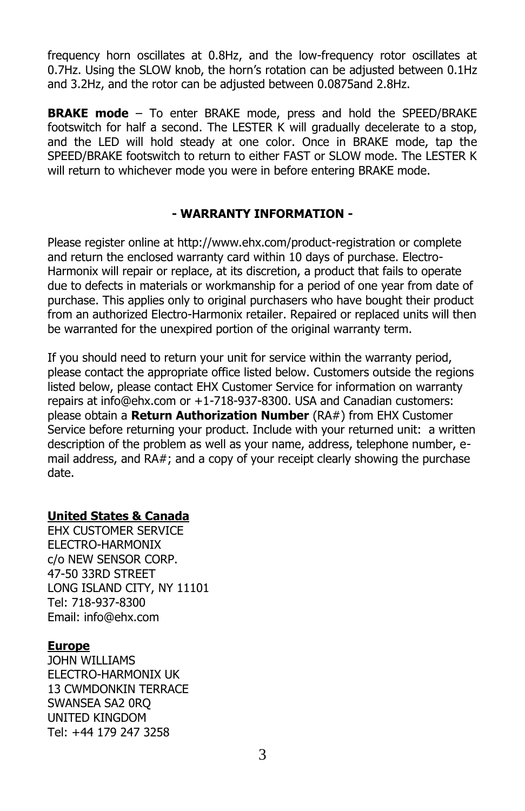frequency horn oscillates at 0.8Hz, and the low-frequency rotor oscillates at 0.7Hz. Using the SLOW knob, the horn's rotation can be adjusted between 0.1Hz and 3.2Hz, and the rotor can be adjusted between 0.0875and 2.8Hz.

**BRAKE mode** – To enter BRAKE mode, press and hold the SPEED/BRAKE footswitch for half a second. The LESTER K will gradually decelerate to a stop, and the LED will hold steady at one color. Once in BRAKE mode, tap the SPEED/BRAKE footswitch to return to either FAST or SLOW mode. The LESTER K will return to whichever mode you were in before entering BRAKE mode.

#### **- WARRANTY INFORMATION -**

Please register online at http://www.ehx.com/product-registration or complete and return the enclosed warranty card within 10 days of purchase. Electro-Harmonix will repair or replace, at its discretion, a product that fails to operate due to defects in materials or workmanship for a period of one year from date of purchase. This applies only to original purchasers who have bought their product from an authorized Electro-Harmonix retailer. Repaired or replaced units will then be warranted for the unexpired portion of the original warranty term.

If you should need to return your unit for service within the warranty period, please contact the appropriate office listed below. Customers outside the regions listed below, please contact EHX Customer Service for information on warranty repairs at info@ehx.com or +1-718-937-8300. USA and Canadian customers: please obtain a **Return Authorization Number** (RA#) from EHX Customer Service before returning your product. Include with your returned unit: a written description of the problem as well as your name, address, telephone number, email address, and RA#; and a copy of your receipt clearly showing the purchase date.

#### **United States & Canada**

EHX CUSTOMER SERVICE ELECTRO-HARMONIX c/o NEW SENSOR CORP. 47-50 33RD STREET LONG ISLAND CITY, NY 11101 Tel: 718-937-8300 Email: info@ehx.com

#### **Europe**

JOHN WILLIAMS ELECTRO-HARMONIX UK 13 CWMDONKIN TERRACE SWANSEA SA2 0RQ UNITED KINGDOM Tel: +44 179 247 3258